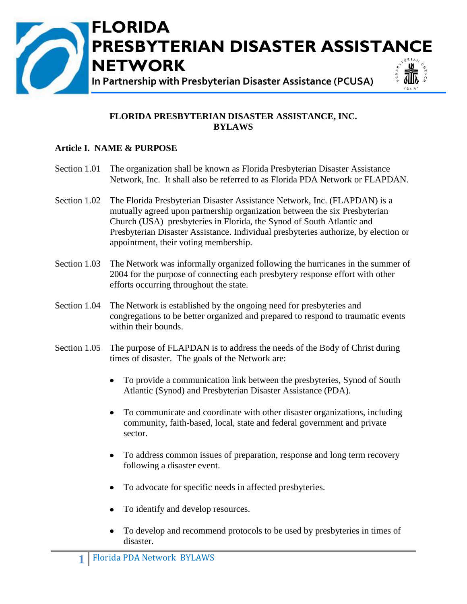

#### **FLORIDA PRESBYTERIAN DISASTER ASSISTANCE, INC. BYLAWS**

#### **Article I. NAME & PURPOSE**

- Section 1.01 The organization shall be known as Florida Presbyterian Disaster Assistance Network, Inc. It shall also be referred to as Florida PDA Network or FLAPDAN.
- Section 1.02 The Florida Presbyterian Disaster Assistance Network, Inc. (FLAPDAN) is a mutually agreed upon partnership organization between the six Presbyterian Church (USA) presbyteries in Florida, the Synod of South Atlantic and Presbyterian Disaster Assistance. Individual presbyteries authorize, by election or appointment, their voting membership.
- Section 1.03 The Network was informally organized following the hurricanes in the summer of 2004 for the purpose of connecting each presbytery response effort with other efforts occurring throughout the state.
- Section 1.04 The Network is established by the ongoing need for presbyteries and congregations to be better organized and prepared to respond to traumatic events within their bounds.
- Section 1.05 The purpose of FLAPDAN is to address the needs of the Body of Christ during times of disaster. The goals of the Network are:
	- To provide a communication link between the presbyteries, Synod of South Atlantic (Synod) and Presbyterian Disaster Assistance (PDA).
	- To communicate and coordinate with other disaster organizations, including  $\bullet$ community, faith-based, local, state and federal government and private sector.
	- $\bullet$ To address common issues of preparation, response and long term recovery following a disaster event.
	- To advocate for specific needs in affected presbyteries.  $\bullet$
	- To identify and develop resources.
	- To develop and recommend protocols to be used by presbyteries in times of  $\bullet$ disaster.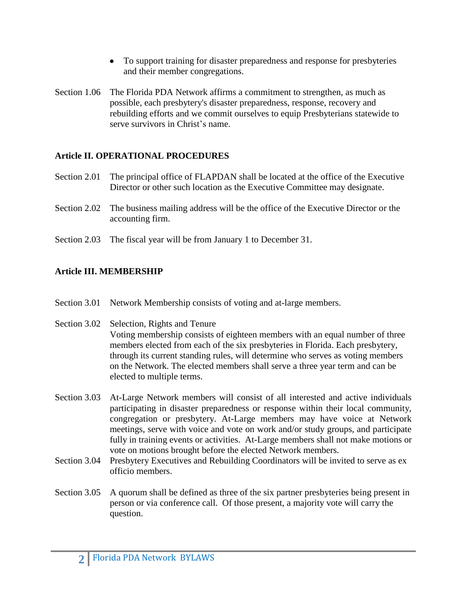- To support training for disaster preparedness and response for presbyteries and their member congregations.
- Section 1.06 The Florida PDA Network affirms a commitment to strengthen, as much as possible, each presbytery's disaster preparedness, response, recovery and rebuilding efforts and we commit ourselves to equip Presbyterians statewide to serve survivors in Christ's name.

## **Article II. OPERATIONAL PROCEDURES**

- Section 2.01 The principal office of FLAPDAN shall be located at the office of the Executive Director or other such location as the Executive Committee may designate.
- Section 2.02 The business mailing address will be the office of the Executive Director or the accounting firm.
- Section 2.03 The fiscal year will be from January 1 to December 31.

## **Article III. MEMBERSHIP**

- Section 3.01 Network Membership consists of voting and at-large members.
- Section 3.02 Selection, Rights and Tenure Voting membership consists of eighteen members with an equal number of three members elected from each of the six presbyteries in Florida. Each presbytery, through its current standing rules, will determine who serves as voting members on the Network. The elected members shall serve a three year term and can be elected to multiple terms.
- Section 3.03 At-Large Network members will consist of all interested and active individuals participating in disaster preparedness or response within their local community, congregation or presbytery. At-Large members may have voice at Network meetings, serve with voice and vote on work and/or study groups, and participate fully in training events or activities. At-Large members shall not make motions or vote on motions brought before the elected Network members.
- Section 3.04 Presbytery Executives and Rebuilding Coordinators will be invited to serve as ex officio members.
- Section 3.05 A quorum shall be defined as three of the six partner presbyteries being present in person or via conference call. Of those present, a majority vote will carry the question.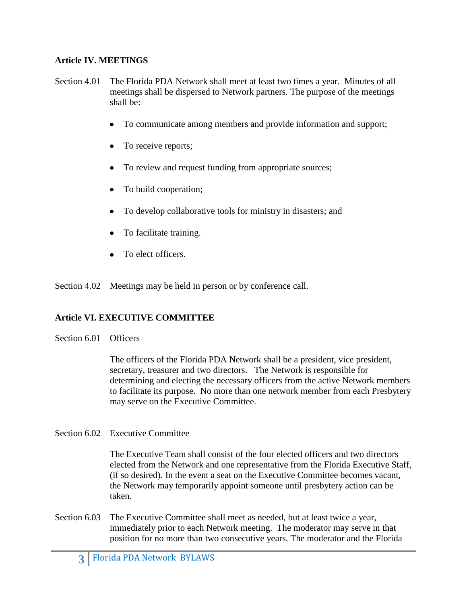#### **Article IV. MEETINGS**

- Section 4.01 The Florida PDA Network shall meet at least two times a year. Minutes of all meetings shall be dispersed to Network partners. The purpose of the meetings shall be:
	- To communicate among members and provide information and support;
	- To receive reports;
	- To review and request funding from appropriate sources;
	- To build cooperation;
	- To develop collaborative tools for ministry in disasters; and
	- To facilitate training.
	- To elect officers.

Section 4.02 Meetings may be held in person or by conference call.

#### **Article VI. EXECUTIVE COMMITTEE**

#### Section 6.01 Officers

The officers of the Florida PDA Network shall be a president, vice president, secretary, treasurer and two directors. The Network is responsible for determining and electing the necessary officers from the active Network members to facilitate its purpose. No more than one network member from each Presbytery may serve on the Executive Committee.

Section 6.02 Executive Committee

The Executive Team shall consist of the four elected officers and two directors elected from the Network and one representative from the Florida Executive Staff, (if so desired). In the event a seat on the Executive Committee becomes vacant, the Network may temporarily appoint someone until presbytery action can be taken.

Section 6.03 The Executive Committee shall meet as needed, but at least twice a year, immediately prior to each Network meeting. The moderator may serve in that position for no more than two consecutive years. The moderator and the Florida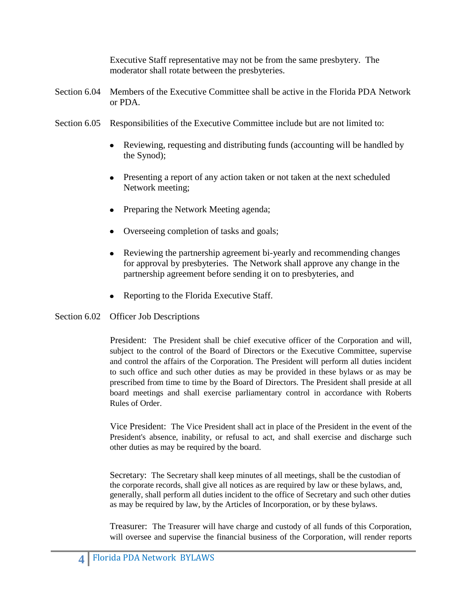Executive Staff representative may not be from the same presbytery. The moderator shall rotate between the presbyteries.

- Section 6.04 Members of the Executive Committee shall be active in the Florida PDA Network or PDA.
- Section 6.05 Responsibilities of the Executive Committee include but are not limited to:
	- Reviewing, requesting and distributing funds (accounting will be handled by  $\bullet$ the Synod);
	- Presenting a report of any action taken or not taken at the next scheduled Network meeting;
	- Preparing the Network Meeting agenda;
	- Overseeing completion of tasks and goals;
	- Reviewing the partnership agreement bi-yearly and recommending changes  $\bullet$ for approval by presbyteries. The Network shall approve any change in the partnership agreement before sending it on to presbyteries, and
	- Reporting to the Florida Executive Staff.

### Section 6.02 Officer Job Descriptions

President: The President shall be chief executive officer of the Corporation and will, subject to the control of the Board of Directors or the Executive Committee, supervise and control the affairs of the Corporation. The President will perform all duties incident to such office and such other duties as may be provided in these bylaws or as may be prescribed from time to time by the Board of Directors. The President shall preside at all board meetings and shall exercise parliamentary control in accordance with Roberts Rules of Order.

Vice President: The Vice President shall act in place of the President in the event of the President's absence, inability, or refusal to act, and shall exercise and discharge such other duties as may be required by the board.

Secretary: The Secretary shall keep minutes of all meetings, shall be the custodian of the corporate records, shall give all notices as are required by law or these bylaws, and, generally, shall perform all duties incident to the office of Secretary and such other duties as may be required by law, by the Articles of Incorporation, or by these bylaws.

Treasurer: The Treasurer will have charge and custody of all funds of this Corporation, will oversee and supervise the financial business of the Corporation, will render reports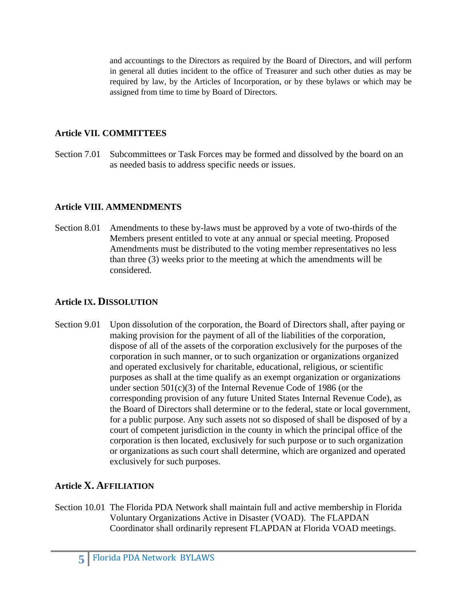and accountings to the Directors as required by the Board of Directors, and will perform in general all duties incident to the office of Treasurer and such other duties as may be required by law, by the Articles of Incorporation, or by these bylaws or which may be assigned from time to time by Board of Directors.

### **Article VII. COMMITTEES**

Section 7.01 Subcommittees or Task Forces may be formed and dissolved by the board on an as needed basis to address specific needs or issues.

### **Article VIII. AMMENDMENTS**

Section 8.01 Amendments to these by-laws must be approved by a vote of two-thirds of the Members present entitled to vote at any annual or special meeting. Proposed Amendments must be distributed to the voting member representatives no less than three (3) weeks prior to the meeting at which the amendments will be considered.

## **Article IX. DISSOLUTION**

Section 9.01 Upon dissolution of the corporation, the Board of Directors shall, after paying or making provision for the payment of all of the liabilities of the corporation, dispose of all of the assets of the corporation exclusively for the purposes of the corporation in such manner, or to such organization or organizations organized and operated exclusively for charitable, educational, religious, or scientific purposes as shall at the time qualify as an exempt organization or organizations under section 501(c)(3) of the Internal Revenue Code of 1986 (or the corresponding provision of any future United States Internal Revenue Code), as the Board of Directors shall determine or to the federal, state or local government, for a public purpose. Any such assets not so disposed of shall be disposed of by a court of competent jurisdiction in the county in which the principal office of the corporation is then located, exclusively for such purpose or to such organization or organizations as such court shall determine, which are organized and operated exclusively for such purposes.

## **Article X. AFFILIATION**

Section 10.01 The Florida PDA Network shall maintain full and active membership in Florida Voluntary Organizations Active in Disaster (VOAD). The FLAPDAN Coordinator shall ordinarily represent FLAPDAN at Florida VOAD meetings.